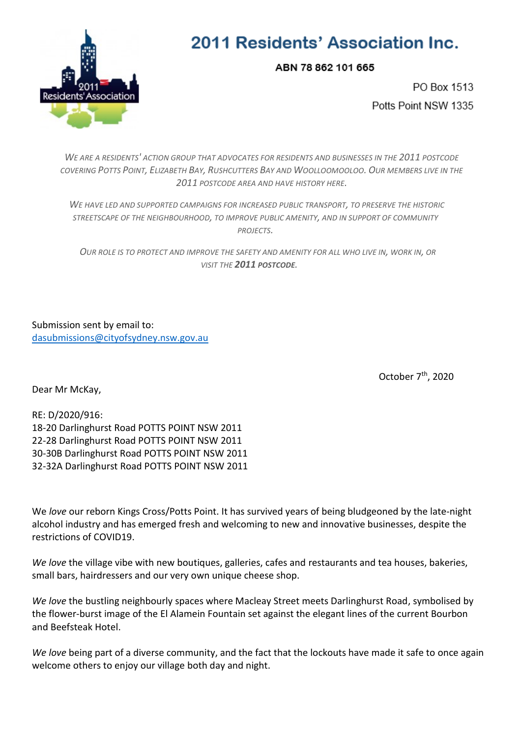

## 2011 Residents' Association Inc.

ABN 78 862 101 665

PO Box 1513 Potts Point NSW 1335

*WE ARE A RESIDENTS' ACTION GROUP THAT ADVOCATES FOR RESIDENTS AND BUSINESSES IN THE 2011 POSTCODE*  COVERING POTTS POINT, ELIZABETH BAY, RUSHCUTTERS BAY AND WOOLLOOMOOLOO. OUR MEMBERS LIVE IN THE *2011 POSTCODE AREA AND HAVE HISTORY HERE.*

 *WE HAVE LED AND SUPPORTED CAMPAIGNS FOR INCREASED PUBLIC TRANSPORT, TO PRESERVE THE HISTORIC STREETSCAPE OF THE NEIGHBOURHOOD, TO IMPROVE PUBLIC AMENITY, AND IN SUPPORT OF COMMUNITY PROJECTS.*

 *OUR ROLE IS TO PROTECT AND IMPROVE THE SAFETY AND AMENITY FOR ALL WHO LIVE IN, WORK IN, OR VISIT THE 2011 POSTCODE.*

Submission sent by email to: [dasubmissions@cityofsydney.nsw.gov.au](mailto:dasubmissions@cityofsydney.nsw.gov.au)

October  $7<sup>th</sup>$ , 2020

Dear Mr McKay,

RE: D/2020/916: 18-20 Darlinghurst Road POTTS POINT NSW 2011 22-28 Darlinghurst Road POTTS POINT NSW 2011 30-30B Darlinghurst Road POTTS POINT NSW 2011 32-32A Darlinghurst Road POTTS POINT NSW 2011

We *love* our reborn Kings Cross/Potts Point. It has survived years of being bludgeoned by the late-night alcohol industry and has emerged fresh and welcoming to new and innovative businesses, despite the restrictions of COVID19.

*We love* the village vibe with new boutiques, galleries, cafes and restaurants and tea houses, bakeries, small bars, hairdressers and our very own unique cheese shop.

*We love* the bustling neighbourly spaces where Macleay Street meets Darlinghurst Road, symbolised by the flower-burst image of the El Alamein Fountain set against the elegant lines of the current Bourbon and Beefsteak Hotel.

*We love* being part of a diverse community, and the fact that the lockouts have made it safe to once again welcome others to enjoy our village both day and night.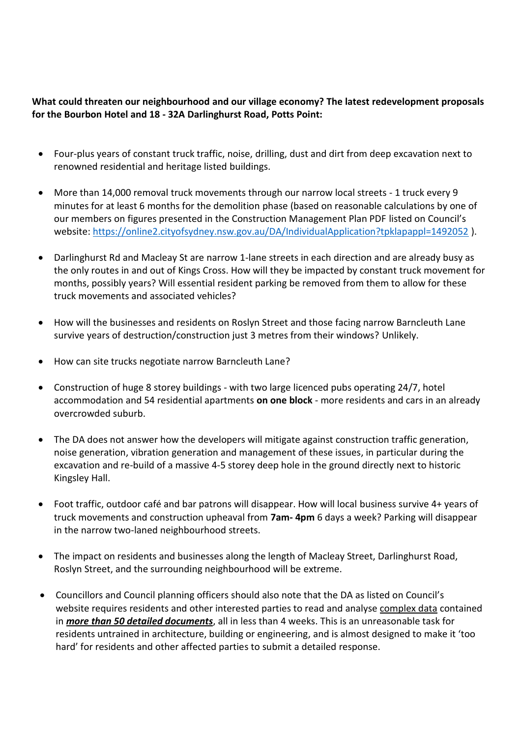## **What could threaten our neighbourhood and our village economy? The latest redevelopment proposals for the Bourbon Hotel and 18 - 32A Darlinghurst Road, Potts Point:**

- Four-plus years of constant truck traffic, noise, drilling, dust and dirt from deep excavation next to renowned residential and heritage listed buildings.
- More than 14,000 removal truck movements through our narrow local streets 1 truck every 9 minutes for at least 6 months for the demolition phase (based on reasonable calculations by one of our members on figures presented in the Construction Management Plan PDF listed on Council's website: <https://online2.cityofsydney.nsw.gov.au/DA/IndividualApplication?tpklapappl=1492052> ).
- Darlinghurst Rd and Macleay St are narrow 1-lane streets in each direction and are already busy as the only routes in and out of Kings Cross. How will they be impacted by constant truck movement for months, possibly years? Will essential resident parking be removed from them to allow for these truck movements and associated vehicles?
- How will the businesses and residents on Roslyn Street and those facing narrow Barncleuth Lane survive years of destruction/construction just 3 metres from their windows? Unlikely.
- How can site trucks negotiate narrow Barncleuth Lane?
- Construction of huge 8 storey buildings with two large licenced pubs operating 24/7, hotel accommodation and 54 residential apartments **on one block** - more residents and cars in an already overcrowded suburb.
- The DA does not answer how the developers will mitigate against construction traffic generation, noise generation, vibration generation and management of these issues, in particular during the excavation and re-build of a massive 4-5 storey deep hole in the ground directly next to historic Kingsley Hall.
- Foot traffic, outdoor café and bar patrons will disappear. How will local business survive 4+ years of truck movements and construction upheaval from **7am- 4pm** 6 days a week? Parking will disappear in the narrow two-laned neighbourhood streets.
- The impact on residents and businesses along the length of Macleay Street, Darlinghurst Road, Roslyn Street, and the surrounding neighbourhood will be extreme.
- Councillors and Council planning officers should also note that the DA as listed on Council's website requires residents and other interested parties to read and analyse complex data contained in *more than 50 detailed documents*, all in less than 4 weeks. This is an unreasonable task for residents untrained in architecture, building or engineering, and is almost designed to make it 'too hard' for residents and other affected parties to submit a detailed response.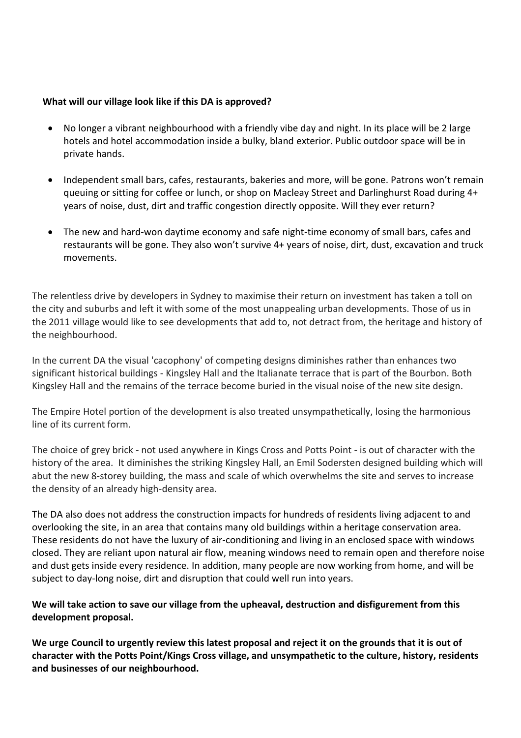## **What will our village look like if this DA is approved?**

- No longer a vibrant neighbourhood with a friendly vibe day and night. In its place will be 2 large hotels and hotel accommodation inside a bulky, bland exterior. Public outdoor space will be in private hands.
- Independent small bars, cafes, restaurants, bakeries and more, will be gone. Patrons won't remain queuing or sitting for coffee or lunch, or shop on Macleay Street and Darlinghurst Road during 4+ years of noise, dust, dirt and traffic congestion directly opposite. Will they ever return?
- The new and hard-won daytime economy and safe night-time economy of small bars, cafes and restaurants will be gone. They also won't survive 4+ years of noise, dirt, dust, excavation and truck movements.

The relentless drive by developers in Sydney to maximise their return on investment has taken a toll on the city and suburbs and left it with some of the most unappealing urban developments. Those of us in the 2011 village would like to see developments that add to, not detract from, the heritage and history of the neighbourhood.

In the current DA the visual 'cacophony' of competing designs diminishes rather than enhances two significant historical buildings - Kingsley Hall and the Italianate terrace that is part of the Bourbon. Both Kingsley Hall and the remains of the terrace become buried in the visual noise of the new site design.

The Empire Hotel portion of the development is also treated unsympathetically, losing the harmonious line of its current form.

The choice of grey brick - not used anywhere in Kings Cross and Potts Point - is out of character with the history of the area. It diminishes the striking Kingsley Hall, an Emil Sodersten designed building which will abut the new 8-storey building, the mass and scale of which overwhelms the site and serves to increase the density of an already high-density area.

The DA also does not address the construction impacts for hundreds of residents living adjacent to and overlooking the site, in an area that contains many old buildings within a heritage conservation area. These residents do not have the luxury of air-conditioning and living in an enclosed space with windows closed. They are reliant upon natural air flow, meaning windows need to remain open and therefore noise and dust gets inside every residence. In addition, many people are now working from home, and will be subject to day-long noise, dirt and disruption that could well run into years.

## **We will take action to save our village from the upheaval, destruction and disfigurement from this development proposal.**

**We urge Council to urgently review this latest proposal and reject it on the grounds that it is out of character with the Potts Point/Kings Cross village, and unsympathetic to the culture, history, residents and businesses of our neighbourhood.**